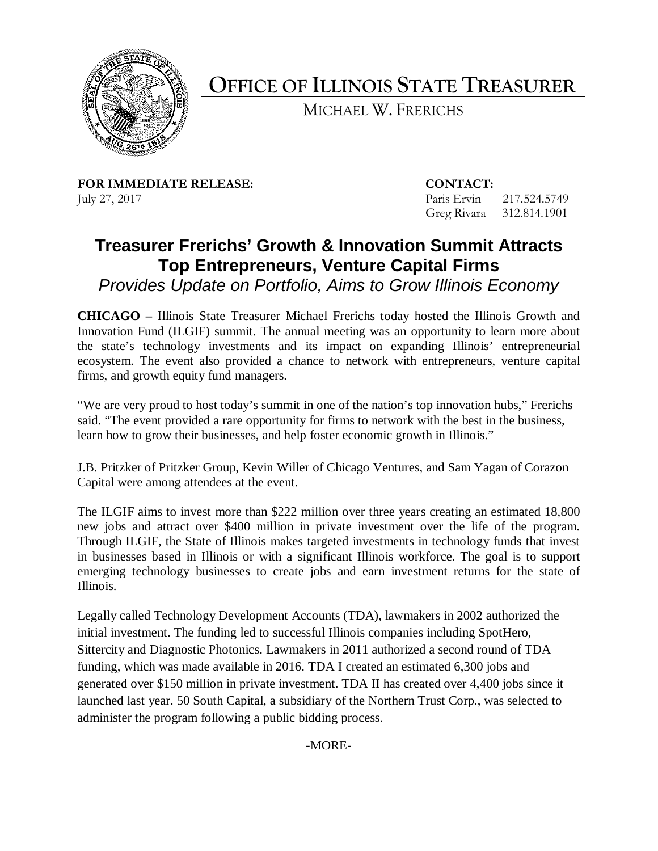

**OFFICE OF ILLINOIS STATE TREASURER** 

MICHAEL W. FRERICHS

**FOR IMMEDIATE RELEASE: CONTACT:** July 27, 2017 Paris Ervin 217.524.5749

Greg Rivara 312.814.1901

## **Treasurer Frerichs' Growth & Innovation Summit Attracts Top Entrepreneurs, Venture Capital Firms**

 *Provides Update on Portfolio, Aims to Grow Illinois Economy* 

 **CHICAGO –** Illinois State Treasurer Michael Frerichs today hosted the Illinois Growth and Innovation Fund (ILGIF) summit. The annual meeting was an opportunity to learn more about the state's technology investments and its impact on expanding Illinois' entrepreneurial ecosystem. The event also provided a chance to network with entrepreneurs, venture capital firms, and growth equity fund managers.

 "We are very proud to host today's summit in one of the nation's top innovation hubs," Frerichs said. "The event provided a rare opportunity for firms to network with the best in the business, learn how to grow their businesses, and help foster economic growth in Illinois."

J.B. Pritzker of Pritzker Group, Kevin Willer of Chicago Ventures, and Sam Yagan of Corazon Capital were among attendees at the event.

 Through ILGIF, the State of Illinois makes targeted investments in technology funds that invest in businesses based in Illinois or with a significant Illinois workforce. The goal is to support emerging technology businesses to create jobs and earn investment returns for the state of The ILGIF aims to invest more than \$222 million over three years creating an estimated 18,800 new jobs and attract over \$400 million in private investment over the life of the program. Illinois.

 initial investment. The funding led to successful Illinois companies including SpotHero, generated over \$150 million in private investment. TDA II has created over 4,400 jobs since it administer the program following a public bidding process. Legally called Technology Development Accounts (TDA), lawmakers in 2002 authorized the Sittercity and Diagnostic Photonics. Lawmakers in 2011 authorized a second round of TDA funding, which was made available in 2016. TDA I created an estimated 6,300 jobs and launched last year. 50 South Capital, a subsidiary of the Northern Trust Corp., was selected to

-MORE